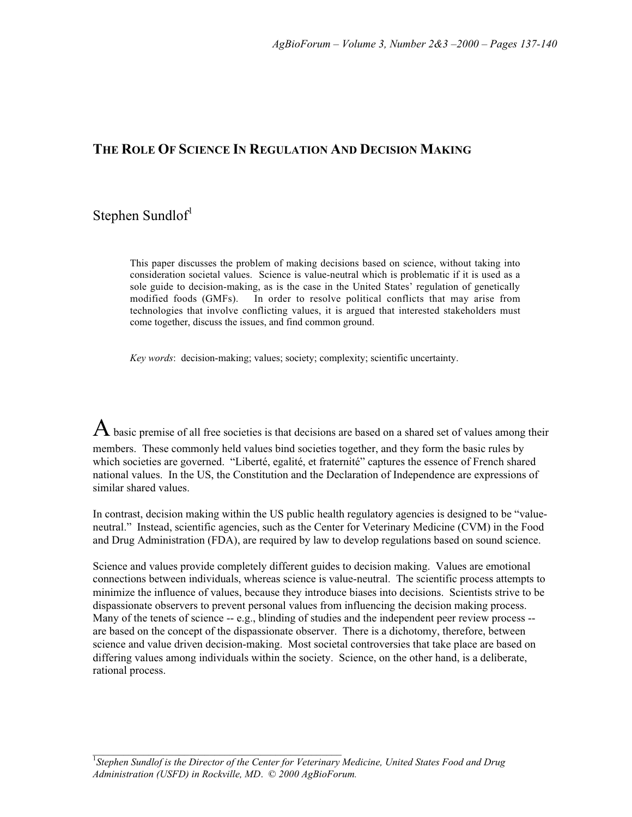## **THE ROLE OF SCIENCE IN REGULATION AND DECISION MAKING**

# Stephen Sundlof<sup>1</sup>

This paper discusses the problem of making decisions based on science, without taking into consideration societal values. Science is value-neutral which is problematic if it is used as a sole guide to decision-making, as is the case in the United States' regulation of genetically modified foods (GMFs). In order to resolve political conflicts that may arise from technologies that involve conflicting values, it is argued that interested stakeholders must come together, discuss the issues, and find common ground.

*Key words*: decision-making; values; society; complexity; scientific uncertainty.

 ${\rm A}$  basic premise of all free societies is that decisions are based on a shared set of values among their members. These commonly held values bind societies together, and they form the basic rules by which societies are governed. "Liberté, egalité, et fraternité" captures the essence of French shared national values. In the US, the Constitution and the Declaration of Independence are expressions of similar shared values.

In contrast, decision making within the US public health regulatory agencies is designed to be "valueneutral." Instead, scientific agencies, such as the Center for Veterinary Medicine (CVM) in the Food and Drug Administration (FDA), are required by law to develop regulations based on sound science.

Science and values provide completely different guides to decision making. Values are emotional connections between individuals, whereas science is value-neutral. The scientific process attempts to minimize the influence of values, because they introduce biases into decisions. Scientists strive to be dispassionate observers to prevent personal values from influencing the decision making process. Many of the tenets of science -- e.g., blinding of studies and the independent peer review process -are based on the concept of the dispassionate observer. There is a dichotomy, therefore, between science and value driven decision-making. Most societal controversies that take place are based on differing values among individuals within the society. Science, on the other hand, is a deliberate, rational process.

\_\_\_\_\_\_\_\_\_\_\_\_\_\_\_\_\_\_\_\_\_\_\_\_\_\_\_\_\_\_\_\_\_\_\_\_\_\_\_\_\_\_\_\_\_\_\_\_\_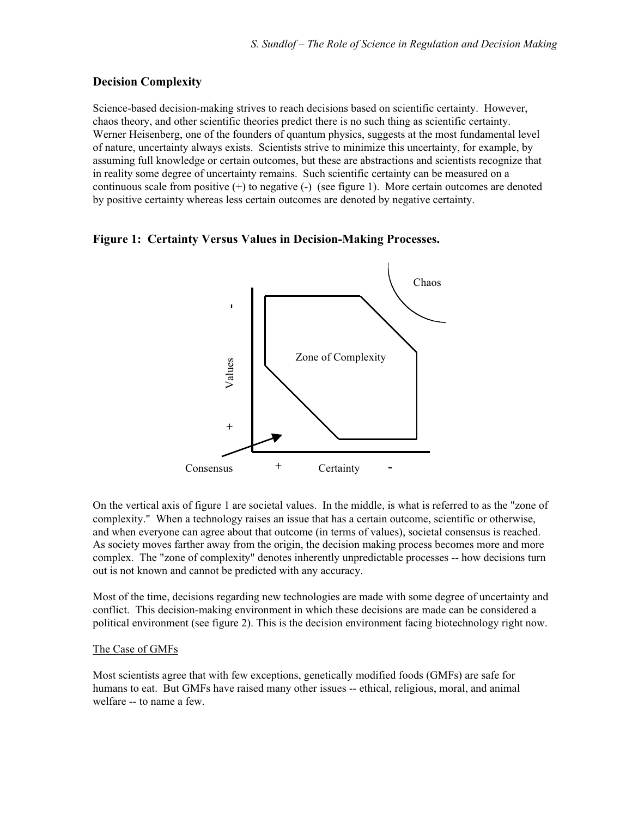### **Decision Complexity**

Science-based decision-making strives to reach decisions based on scientific certainty. However, chaos theory, and other scientific theories predict there is no such thing as scientific certainty. Werner Heisenberg, one of the founders of quantum physics, suggests at the most fundamental level of nature, uncertainty always exists. Scientists strive to minimize this uncertainty, for example, by assuming full knowledge or certain outcomes, but these are abstractions and scientists recognize that in reality some degree of uncertainty remains. Such scientific certainty can be measured on a continuous scale from positive  $(+)$  to negative  $(-)$  (see figure 1). More certain outcomes are denoted by positive certainty whereas less certain outcomes are denoted by negative certainty.

#### **Figure 1: Certainty Versus Values in Decision-Making Processes.**



On the vertical axis of figure 1 are societal values. In the middle, is what is referred to as the "zone of complexity." When a technology raises an issue that has a certain outcome, scientific or otherwise, and when everyone can agree about that outcome (in terms of values), societal consensus is reached. As society moves farther away from the origin, the decision making process becomes more and more complex. The "zone of complexity" denotes inherently unpredictable processes -- how decisions turn out is not known and cannot be predicted with any accuracy.

Most of the time, decisions regarding new technologies are made with some degree of uncertainty and conflict. This decision-making environment in which these decisions are made can be considered a political environment (see figure 2). This is the decision environment facing biotechnology right now.

#### The Case of GMFs

Most scientists agree that with few exceptions, genetically modified foods (GMFs) are safe for humans to eat. But GMFs have raised many other issues -- ethical, religious, moral, and animal welfare -- to name a few.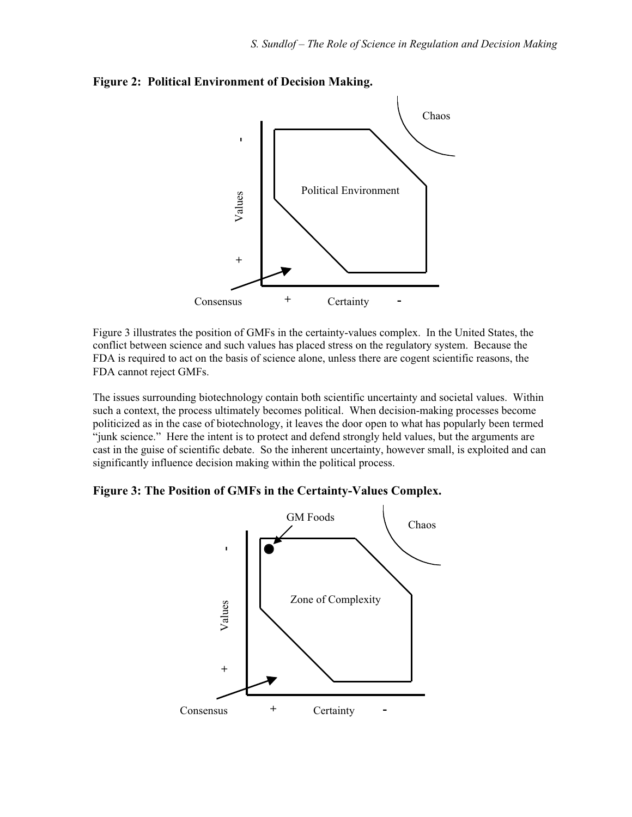

**Figure 2: Political Environment of Decision Making.**

Figure 3 illustrates the position of GMFs in the certainty-values complex. In the United States, the conflict between science and such values has placed stress on the regulatory system. Because the FDA is required to act on the basis of science alone, unless there are cogent scientific reasons, the FDA cannot reject GMFs.

The issues surrounding biotechnology contain both scientific uncertainty and societal values. Within such a context, the process ultimately becomes political. When decision-making processes become politicized as in the case of biotechnology, it leaves the door open to what has popularly been termed "junk science." Here the intent is to protect and defend strongly held values, but the arguments are cast in the guise of scientific debate. So the inherent uncertainty, however small, is exploited and can significantly influence decision making within the political process.

**Figure 3: The Position of GMFs in the Certainty-Values Complex.**